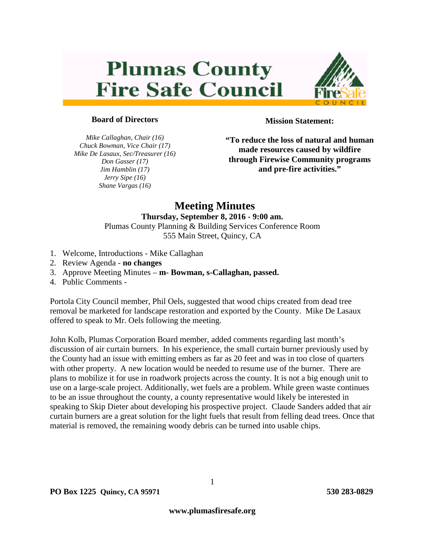# **Plumas County Fire Safe Council**



#### **Board of Directors**

*Mike Callaghan, Chair (16) Chuck Bowman, Vice Chair (17) Mike De Lasaux, Sec/Treasurer (16) Don Gasser (17) Jim Hamblin (17) Jerry Sipe (16) Shane Vargas (16)*

**Mission Statement:**

**"To reduce the loss of natural and human made resources caused by wildfire through Firewise Community programs and pre-fire activities."**

## **Meeting Minutes**

#### **Thursday, September 8, 2016 - 9:00 am.** Plumas County Planning & Building Services Conference Room

555 Main Street, Quincy, CA

- 1. Welcome, Introductions Mike Callaghan
- 2. Review Agenda **no changes**
- 3. Approve Meeting Minutes **m- Bowman, s-Callaghan, passed.**
- 4. Public Comments -

Portola City Council member, Phil Oels, suggested that wood chips created from dead tree removal be marketed for landscape restoration and exported by the County. Mike De Lasaux offered to speak to Mr. Oels following the meeting.

John Kolb, Plumas Corporation Board member, added comments regarding last month's discussion of air curtain burners. In his experience, the small curtain burner previously used by the County had an issue with emitting embers as far as 20 feet and was in too close of quarters with other property. A new location would be needed to resume use of the burner. There are plans to mobilize it for use in roadwork projects across the county. It is not a big enough unit to use on a large-scale project. Additionally, wet fuels are a problem. While green waste continues to be an issue throughout the county, a county representative would likely be interested in speaking to Skip Dieter about developing his prospective project. Claude Sanders added that air curtain burners are a great solution for the light fuels that result from felling dead trees. Once that material is removed, the remaining woody debris can be turned into usable chips.

1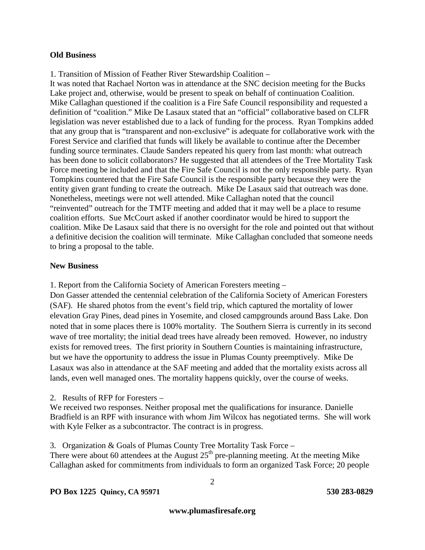#### **Old Business**

1. Transition of Mission of Feather River Stewardship Coalition –

It was noted that Rachael Norton was in attendance at the SNC decision meeting for the Bucks Lake project and, otherwise, would be present to speak on behalf of continuation Coalition. Mike Callaghan questioned if the coalition is a Fire Safe Council responsibility and requested a definition of "coalition." Mike De Lasaux stated that an "official" collaborative based on CLFR legislation was never established due to a lack of funding for the process. Ryan Tompkins added that any group that is "transparent and non-exclusive" is adequate for collaborative work with the Forest Service and clarified that funds will likely be available to continue after the December funding source terminates. Claude Sanders repeated his query from last month: what outreach has been done to solicit collaborators? He suggested that all attendees of the Tree Mortality Task Force meeting be included and that the Fire Safe Council is not the only responsible party. Ryan Tompkins countered that the Fire Safe Council is the responsible party because they were the entity given grant funding to create the outreach. Mike De Lasaux said that outreach was done. Nonetheless, meetings were not well attended. Mike Callaghan noted that the council "reinvented" outreach for the TMTF meeting and added that it may well be a place to resume coalition efforts. Sue McCourt asked if another coordinator would be hired to support the coalition. Mike De Lasaux said that there is no oversight for the role and pointed out that without a definitive decision the coalition will terminate. Mike Callaghan concluded that someone needs to bring a proposal to the table.

#### **New Business**

1. Report from the California Society of American Foresters meeting –

Don Gasser attended the centennial celebration of the California Society of American Foresters (SAF). He shared photos from the event's field trip, which captured the mortality of lower elevation Gray Pines, dead pines in Yosemite, and closed campgrounds around Bass Lake. Don noted that in some places there is 100% mortality. The Southern Sierra is currently in its second wave of tree mortality; the initial dead trees have already been removed. However, no industry exists for removed trees. The first priority in Southern Counties is maintaining infrastructure, but we have the opportunity to address the issue in Plumas County preemptively. Mike De Lasaux was also in attendance at the SAF meeting and added that the mortality exists across all lands, even well managed ones. The mortality happens quickly, over the course of weeks.

2. Results of RFP for Foresters –

We received two responses. Neither proposal met the qualifications for insurance. Danielle Bradfield is an RPF with insurance with whom Jim Wilcox has negotiated terms. She will work with Kyle Felker as a subcontractor. The contract is in progress.

3. Organization & Goals of Plumas County Tree Mortality Task Force – There were about 60 attendees at the August  $25<sup>th</sup>$  pre-planning meeting. At the meeting Mike Callaghan asked for commitments from individuals to form an organized Task Force; 20 people

#### **PO Box 1225 Quincy, CA 95971 530 283-0829**

2

**www.plumasfiresafe.org**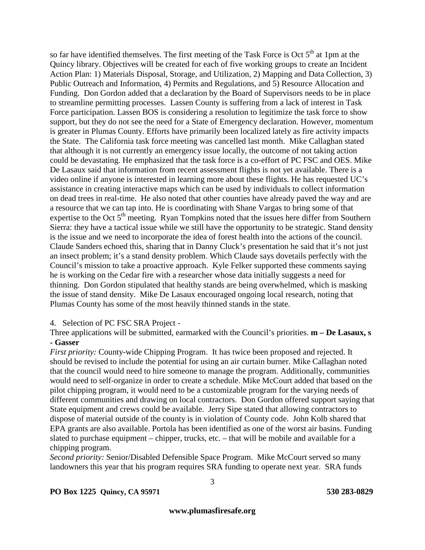so far have identified themselves. The first meeting of the Task Force is Oct  $5<sup>th</sup>$  at 1pm at the Quincy library. Objectives will be created for each of five working groups to create an Incident Action Plan: 1) Materials Disposal, Storage, and Utilization, 2) Mapping and Data Collection, 3) Public Outreach and Information, 4) Permits and Regulations, and 5) Resource Allocation and Funding. Don Gordon added that a declaration by the Board of Supervisors needs to be in place to streamline permitting processes. Lassen County is suffering from a lack of interest in Task Force participation. Lassen BOS is considering a resolution to legitimize the task force to show support, but they do not see the need for a State of Emergency declaration. However, momentum is greater in Plumas County. Efforts have primarily been localized lately as fire activity impacts the State. The California task force meeting was cancelled last month. Mike Callaghan stated that although it is not currently an emergency issue locally, the outcome of not taking action could be devastating. He emphasized that the task force is a co-effort of PC FSC and OES. Mike De Lasaux said that information from recent assessment flights is not yet available. There is a video online if anyone is interested in learning more about these flights. He has requested UC's assistance in creating interactive maps which can be used by individuals to collect information on dead trees in real-time. He also noted that other counties have already paved the way and are a resource that we can tap into. He is coordinating with Shane Vargas to bring some of that expertise to the Oct  $5<sup>th</sup>$  meeting. Ryan Tompkins noted that the issues here differ from Southern Sierra: they have a tactical issue while we still have the opportunity to be strategic. Stand density is the issue and we need to incorporate the idea of forest health into the actions of the council. Claude Sanders echoed this, sharing that in Danny Cluck's presentation he said that it's not just an insect problem; it's a stand density problem. Which Claude says dovetails perfectly with the Council's mission to take a proactive approach. Kyle Felker supported these comments saying he is working on the Cedar fire with a researcher whose data initially suggests a need for thinning. Don Gordon stipulated that healthy stands are being overwhelmed, which is masking the issue of stand density. Mike De Lasaux encouraged ongoing local research, noting that Plumas County has some of the most heavily thinned stands in the state.

4. Selection of PC FSC SRA Project -

Three applications will be submitted, earmarked with the Council's priorities. **m – De Lasaux, s - Gasser**

*First priority:* County-wide Chipping Program. It has twice been proposed and rejected. It should be revised to include the potential for using an air curtain burner. Mike Callaghan noted that the council would need to hire someone to manage the program. Additionally, communities would need to self-organize in order to create a schedule. Mike McCourt added that based on the pilot chipping program, it would need to be a customizable program for the varying needs of different communities and drawing on local contractors. Don Gordon offered support saying that State equipment and crews could be available. Jerry Sipe stated that allowing contractors to dispose of material outside of the county is in violation of County code. John Kolb shared that EPA grants are also available. Portola has been identified as one of the worst air basins. Funding slated to purchase equipment – chipper, trucks, etc. – that will be mobile and available for a chipping program.

*Second priority:* Senior/Disabled Defensible Space Program. Mike McCourt served so many landowners this year that his program requires SRA funding to operate next year. SRA funds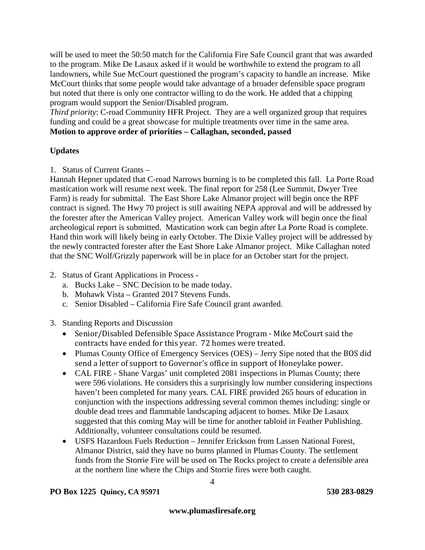will be used to meet the 50:50 match for the California Fire Safe Council grant that was awarded to the program. Mike De Lasaux asked if it would be worthwhile to extend the program to all landowners, while Sue McCourt questioned the program's capacity to handle an increase. Mike McCourt thinks that some people would take advantage of a broader defensible space program but noted that there is only one contractor willing to do the work. He added that a chipping program would support the Senior/Disabled program.

*Third priority*: C-road Community HFR Project. They are a well organized group that requires funding and could be a great showcase for multiple treatments over time in the same area. **Motion to approve order of priorities – Callaghan, seconded, passed**

### **Updates**

1. Status of Current Grants –

Hannah Hepner updated that C-road Narrows burning is to be completed this fall. La Porte Road mastication work will resume next week. The final report for 258 (Lee Summit, Dwyer Tree Farm) is ready for submittal. The East Shore Lake Almanor project will begin once the RPF contract is signed. The Hwy 70 project is still awaiting NEPA approval and will be addressed by the forester after the American Valley project. American Valley work will begin once the final archeological report is submitted. Mastication work can begin after La Porte Road is complete. Hand thin work will likely being in early October. The Dixie Valley project will be addressed by the newly contracted forester after the East Shore Lake Almanor project. Mike Callaghan noted that the SNC Wolf/Grizzly paperwork will be in place for an October start for the project.

- 2. Status of Grant Applications in Process
	- a. Bucks Lake SNC Decision to be made today.
	- b. Mohawk Vista Granted 2017 Stevens Funds.
	- c. Senior Disabled California Fire Safe Council grant awarded.
- 3. Standing Reports and Discussion
	- Senior/Disabled Defensible Space Assistance Program Mike McCourt said the contracts have ended for this year. 72 homes were treated.
	- Plumas County Office of Emergency Services (OES) Jerry Sipe noted that the BOS did send a letter of support to Governor's office in support of Honeylake power.
	- CAL FIRE Shane Vargas' unit completed 2081 inspections in Plumas County; there were 596 violations. He considers this a surprisingly low number considering inspections haven't been completed for many years. CAL FIRE provided 265 hours of education in conjunction with the inspections addressing several common themes including: single or double dead trees and flammable landscaping adjacent to homes. Mike De Lasaux suggested that this coming May will be time for another tabloid in Feather Publishing. Additionally, volunteer consultations could be resumed.
	- USFS Hazardous Fuels Reduction Jennifer Erickson from Lassen National Forest, Almanor District, said they have no burns planned in Plumas County. The settlement funds from the Storrie Fire will be used on The Rocks project to create a defensible area at the northern line where the Chips and Storrie fires were both caught.

#### **PO Box 1225 Quincy, CA 95971 530 283-0829**

4